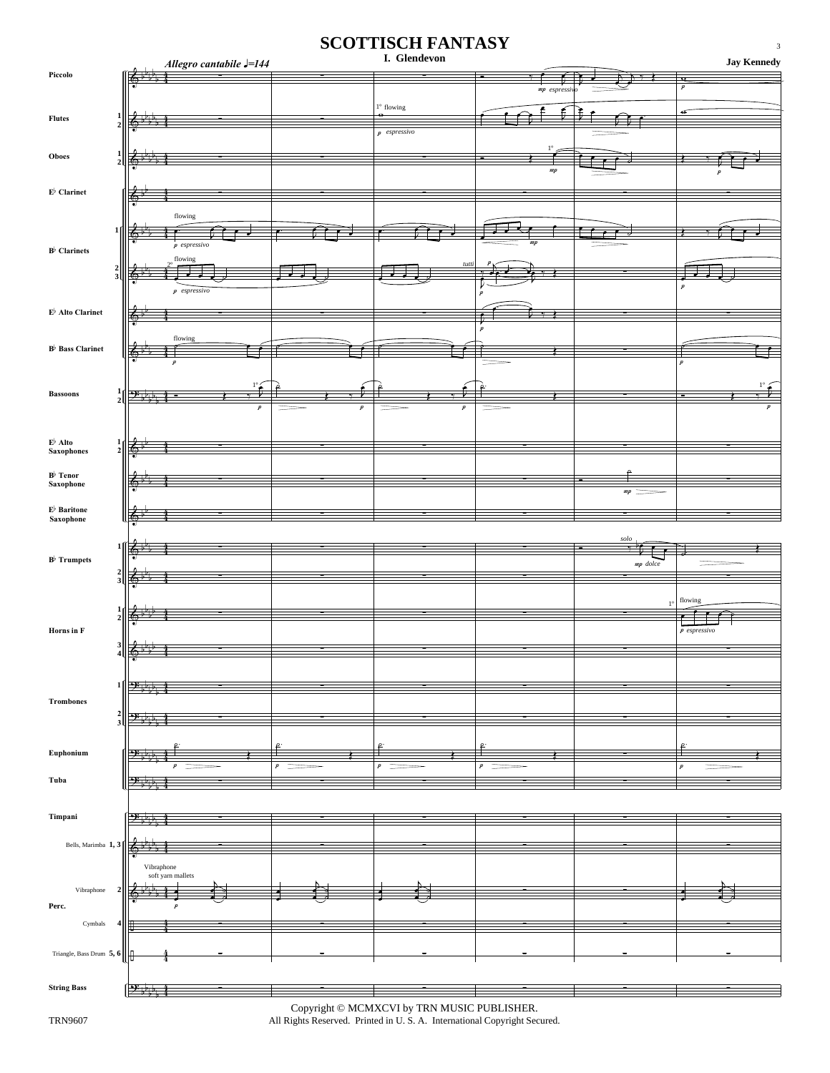## **SCOTTISCH FANTASY**

|                                       |               |                                 |                  |   |                  | <b>SCOTTISCH FANIASI</b><br>I. Glendevon |                  |              |          |                  |                    |
|---------------------------------------|---------------|---------------------------------|------------------|---|------------------|------------------------------------------|------------------|--------------|----------|------------------|--------------------|
|                                       |               | Allegro cantabile J=144         |                  |   |                  |                                          |                  |              |          |                  | <b>Jay Kennedy</b> |
| Piccolo                               |               | る                               |                  |   |                  |                                          |                  |              |          | Ω                |                    |
|                                       |               |                                 |                  |   |                  |                                          |                  | mp espressiv |          | $\boldsymbol{p}$ |                    |
|                                       |               |                                 |                  |   |                  | $1^\circ$ flowing                        |                  | É            |          | ө                |                    |
| <b>Flutes</b>                         | $\frac{1}{2}$ | रू                              |                  |   |                  |                                          |                  |              |          |                  |                    |
|                                       |               |                                 |                  |   |                  | $p$ espressivo                           |                  |              |          |                  |                    |
|                                       |               |                                 |                  |   |                  |                                          |                  | $1^{\circ}$  |          |                  |                    |
| Oboes                                 | $\frac{1}{2}$ |                                 |                  |   |                  |                                          |                  |              |          |                  |                    |
|                                       |               |                                 |                  |   |                  |                                          |                  | mp           |          |                  |                    |
| $E^{\flat}$ Clarinet                  |               |                                 |                  |   |                  |                                          |                  |              |          |                  |                    |
|                                       |               |                                 |                  |   |                  |                                          |                  |              |          |                  |                    |
|                                       |               | flowing                         |                  |   |                  |                                          |                  |              |          |                  |                    |
|                                       | 11            |                                 |                  |   |                  |                                          |                  |              |          |                  |                    |
|                                       |               | ⋒<br>$p$ espressivo             |                  |   |                  |                                          | $_{mp}$          |              |          |                  |                    |
| $B^{\flat}$ Clarinets                 |               | flowing                         |                  |   |                  |                                          |                  |              |          |                  |                    |
|                                       | $\frac{2}{3}$ |                                 |                  |   |                  |                                          | tutt.            |              |          |                  |                    |
|                                       |               |                                 |                  |   |                  |                                          |                  |              |          | $\boldsymbol{p}$ |                    |
|                                       |               | $p$ espressivo                  |                  |   |                  |                                          |                  |              |          |                  |                    |
| $\mathbf{E}^\flat$ Alto Clarinet      |               |                                 |                  |   |                  |                                          |                  |              |          |                  |                    |
|                                       |               |                                 |                  |   |                  |                                          | Ŧ                |              |          |                  |                    |
|                                       |               | flowing                         |                  |   |                  |                                          | $\boldsymbol{p}$ |              |          |                  |                    |
| B <sup>b</sup> Bass Clarinet          |               | ⋒                               |                  |   |                  |                                          |                  |              |          |                  | ₽                  |
|                                       |               | $\boldsymbol{p}$                |                  |   |                  |                                          |                  |              |          | $\boldsymbol{p}$ |                    |
|                                       |               |                                 |                  |   |                  |                                          |                  |              |          |                  |                    |
| <b>Bassoons</b>                       |               |                                 | $\frac{1}{2}$    |   |                  | ┵                                        | $\mathbf{a}$     |              |          |                  | $\frac{1}{4}$      |
|                                       | $\frac{1}{2}$ | $\mathcal{P}$ , $\mathbb{H}$    | $\boldsymbol{p}$ |   | $\boldsymbol{p}$ | $\boldsymbol{p}$                         |                  |              |          |                  | $\boldsymbol{p}$   |
|                                       |               |                                 |                  |   |                  |                                          |                  |              |          |                  |                    |
|                                       |               |                                 |                  |   |                  |                                          |                  |              |          |                  |                    |
| $\mathbf{E}^\flat$ Alto<br>Saxophones | $\frac{1}{2}$ |                                 |                  |   |                  |                                          |                  |              |          |                  |                    |
|                                       |               | Ó.                              |                  |   |                  |                                          |                  |              |          |                  |                    |
|                                       |               |                                 |                  |   |                  |                                          |                  |              |          |                  |                    |
| $\mathbf{B}^\flat$ Tenor<br>Saxophone |               |                                 |                  |   |                  |                                          |                  |              |          |                  |                    |
|                                       |               |                                 |                  |   |                  |                                          |                  |              | $mp =$   |                  |                    |
| $\mathbf{E}^\flat$ Baritone           |               |                                 |                  |   |                  |                                          |                  |              |          |                  |                    |
| Saxophone                             |               |                                 |                  |   |                  |                                          |                  |              |          |                  |                    |
|                                       |               |                                 |                  |   |                  |                                          |                  |              |          |                  |                    |
|                                       |               |                                 |                  |   |                  |                                          |                  |              | solo     |                  |                    |
|                                       | $1\vert$      |                                 |                  |   |                  |                                          |                  |              |          |                  |                    |
| $\mathbf{B}^\flat$ Trumpets           |               |                                 |                  |   |                  |                                          |                  |              | mp dolce |                  |                    |
|                                       |               |                                 |                  |   |                  |                                          |                  |              |          |                  |                    |
|                                       | $\frac{2}{3}$ | ⋒                               |                  |   |                  |                                          |                  |              |          |                  |                    |
|                                       |               |                                 |                  |   |                  |                                          |                  |              |          | flowing          |                    |
|                                       | $\frac{1}{2}$ |                                 |                  |   |                  |                                          |                  |              |          |                  |                    |
| Horns in F                            |               |                                 |                  |   |                  |                                          |                  |              |          | $p$ espressivo   |                    |
|                                       |               |                                 |                  |   |                  |                                          |                  |              |          |                  |                    |
|                                       |               | $3 2+1 $                        |                  |   |                  |                                          |                  |              |          |                  |                    |
|                                       | $4\sqrt{9}$   |                                 |                  |   |                  |                                          |                  |              |          |                  |                    |
|                                       | $\mathbf{1}$  |                                 |                  |   |                  |                                          |                  |              |          |                  |                    |
|                                       |               |                                 |                  |   |                  |                                          |                  |              |          |                  |                    |
| <b>Trombones</b>                      |               |                                 |                  |   |                  |                                          |                  |              |          |                  |                    |
|                                       | $\frac{2}{3}$ |                                 |                  |   |                  |                                          |                  |              |          |                  |                    |
|                                       |               |                                 |                  |   |                  |                                          |                  |              |          |                  |                    |
|                                       |               |                                 |                  | p |                  |                                          | ρ                |              |          | $\mathbf{r}$     |                    |
| Euphonium                             |               |                                 |                  |   |                  | $\boldsymbol{p}$                         | $\boldsymbol{p}$ |              |          | $\boldsymbol{p}$ |                    |
|                                       |               |                                 |                  |   |                  |                                          |                  |              |          |                  |                    |
| Tuba                                  |               |                                 |                  |   |                  |                                          |                  |              |          |                  |                    |
|                                       |               |                                 |                  |   |                  |                                          |                  |              |          |                  |                    |
| Timpani                               |               |                                 |                  |   |                  |                                          |                  |              |          |                  |                    |
|                                       |               |                                 |                  |   |                  |                                          |                  |              |          |                  |                    |
| Bells, Marimba 1, 3                   |               |                                 |                  |   |                  |                                          |                  |              |          |                  |                    |
|                                       |               |                                 |                  |   |                  |                                          |                  |              |          |                  |                    |
|                                       |               |                                 |                  |   |                  |                                          |                  |              |          |                  |                    |
|                                       |               | Vibraphone<br>soft yarn mallets |                  |   |                  |                                          |                  |              |          |                  |                    |
| Vibraphone                            | 2             |                                 |                  |   |                  |                                          |                  |              |          |                  |                    |
| Perc.                                 |               | $\mu$                           |                  |   |                  |                                          |                  |              |          |                  |                    |
| Cymbols                               | 4             |                                 |                  |   |                  |                                          |                  |              |          |                  |                    |
|                                       |               |                                 |                  |   |                  |                                          |                  |              |          |                  |                    |
|                                       |               |                                 |                  |   |                  |                                          |                  |              |          |                  |                    |
| Triangle, Bass Drum 5, 6              |               |                                 |                  |   |                  |                                          |                  |              |          |                  |                    |
|                                       |               |                                 |                  |   |                  |                                          |                  |              |          |                  |                    |
| <b>String Bass</b>                    |               |                                 |                  |   |                  |                                          |                  |              |          |                  |                    |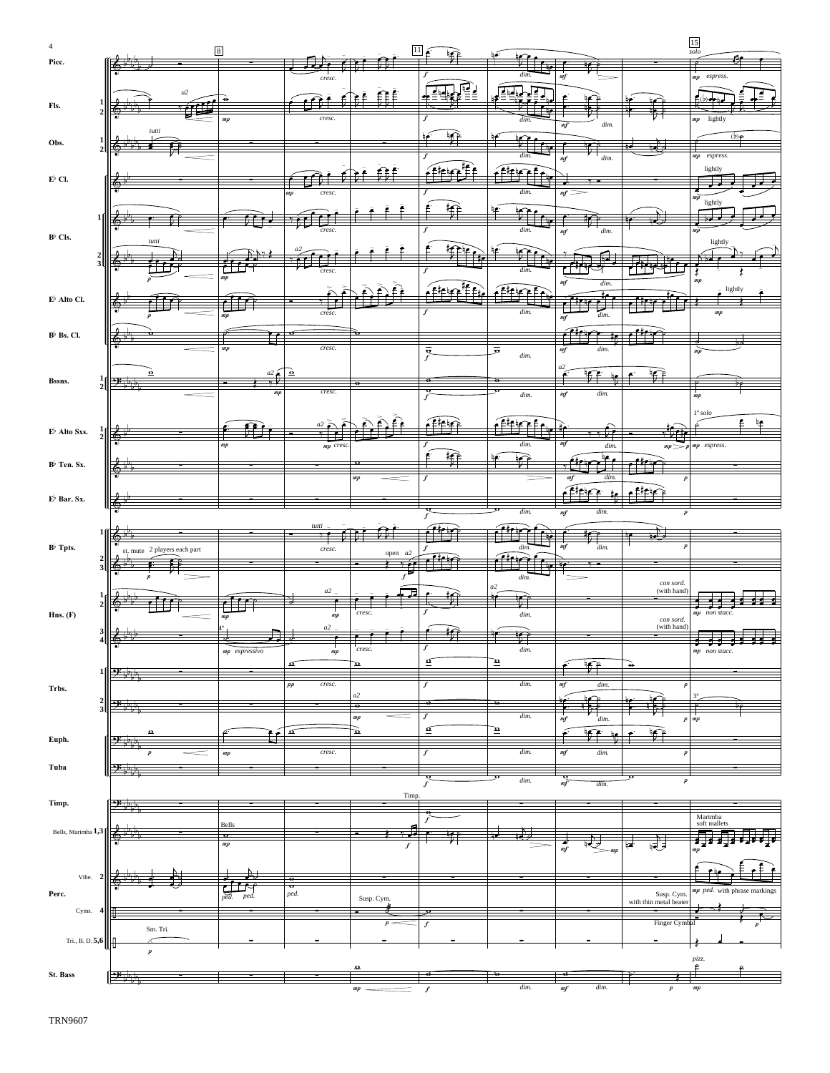| $\overline{4}$               |                              | $\,$ 8 $\,$                         |                                       | $11$                       |                                                       |                         |                                                                                                                                                                                                                                                                                                                                                                     |                                       | $\frac{15}{\text{solo}}$                                                        |
|------------------------------|------------------------------|-------------------------------------|---------------------------------------|----------------------------|-------------------------------------------------------|-------------------------|---------------------------------------------------------------------------------------------------------------------------------------------------------------------------------------------------------------------------------------------------------------------------------------------------------------------------------------------------------------------|---------------------------------------|---------------------------------------------------------------------------------|
| Picc.                        |                              |                                     |                                       |                            | ثمط                                                   |                         |                                                                                                                                                                                                                                                                                                                                                                     |                                       |                                                                                 |
|                              |                              |                                     | cresc.                                |                            |                                                       |                         | mf                                                                                                                                                                                                                                                                                                                                                                  |                                       | mp espress.                                                                     |
| Fls.                         | a2                           |                                     |                                       | £ÊĒ                        | 本 のうしょう こくしょう こうしょう こうしょう こうしゃ こうしゃ こうしょう こうしょう こうしょう |                         |                                                                                                                                                                                                                                                                                                                                                                     |                                       |                                                                                 |
|                              |                              |                                     | cresc.                                |                            |                                                       |                         |                                                                                                                                                                                                                                                                                                                                                                     |                                       | lightly<br>mp                                                                   |
|                              | tutti                        |                                     |                                       |                            | $\mathbb{F}$                                          | ۱û                      | dim.<br>mf                                                                                                                                                                                                                                                                                                                                                          |                                       | $(b)$ p                                                                         |
| Obs.                         |                              |                                     |                                       |                            |                                                       |                         | dim.                                                                                                                                                                                                                                                                                                                                                                |                                       | mp espress.                                                                     |
|                              |                              |                                     |                                       |                            | <u>ਸਿੰਘ≄ਸਿੰ</u>                                       |                         | mf                                                                                                                                                                                                                                                                                                                                                                  |                                       | lightly                                                                         |
| $E^{\flat}$ Cl.              |                              |                                     | cresc.                                |                            |                                                       | dim.                    | mf                                                                                                                                                                                                                                                                                                                                                                  |                                       |                                                                                 |
|                              |                              |                                     |                                       |                            | 蜂                                                     |                         |                                                                                                                                                                                                                                                                                                                                                                     |                                       | тp<br>lightly                                                                   |
|                              |                              |                                     |                                       |                            |                                                       |                         |                                                                                                                                                                                                                                                                                                                                                                     |                                       |                                                                                 |
| $B^{\flat}$ Cls.             | tutti                        |                                     | cresc.                                |                            |                                                       | dim.                    | $\dim$<br>$\it mf$                                                                                                                                                                                                                                                                                                                                                  |                                       | mp<br>lightly                                                                   |
|                              |                              |                                     | а2                                    |                            | la ≩le                                                | $\widehat{\mathbb{H}}$  |                                                                                                                                                                                                                                                                                                                                                                     |                                       |                                                                                 |
|                              |                              |                                     | cresc.                                |                            |                                                       | dim                     |                                                                                                                                                                                                                                                                                                                                                                     |                                       | mı                                                                              |
|                              |                              |                                     |                                       |                            |                                                       |                         | dim.                                                                                                                                                                                                                                                                                                                                                                |                                       | lightly                                                                         |
| $E^{\flat}$ Alto Cl.         |                              |                                     | cresc.                                |                            |                                                       | dim.                    | ť₩<br>dim.                                                                                                                                                                                                                                                                                                                                                          |                                       |                                                                                 |
|                              |                              |                                     |                                       |                            |                                                       |                         |                                                                                                                                                                                                                                                                                                                                                                     |                                       |                                                                                 |
| $\mathbf{B}^{\flat}$ Bs. Cl. |                              | <u>. . </u><br>mp                   | cresc.                                |                            |                                                       | $\overline{\mathbf{v}}$ | $\begin{picture}(20,10) \put(0,0){\vector(1,0){100}} \put(15,0){\vector(1,0){100}} \put(15,0){\vector(1,0){100}} \put(15,0){\vector(1,0){100}} \put(15,0){\vector(1,0){100}} \put(15,0){\vector(1,0){100}} \put(15,0){\vector(1,0){100}} \put(15,0){\vector(1,0){100}} \put(15,0){\vector(1,0){100}} \put(15,0){\vector(1,0){100}} \put(15,0){\vector(1,0){100}} \$ |                                       |                                                                                 |
|                              |                              |                                     |                                       |                            | $\frac{1}{\overline{g}}$                              | $\dim.$                 | a2                                                                                                                                                                                                                                                                                                                                                                  |                                       |                                                                                 |
| Bssns.                       | Ω                            | $\frac{d^2\mathbf{r}}{d\mathbf{r}}$ | $\boldsymbol{\Omega}$                 |                            |                                                       |                         | $\mathfrak{p}_1$                                                                                                                                                                                                                                                                                                                                                    | $\widehat{\mathbb{F}^2}$              |                                                                                 |
|                              |                              | mp                                  | cresc.                                |                            |                                                       | $\dim.$                 | $\dim$<br>$_{mf}$                                                                                                                                                                                                                                                                                                                                                   |                                       | mр                                                                              |
|                              |                              |                                     |                                       |                            |                                                       |                         |                                                                                                                                                                                                                                                                                                                                                                     |                                       | $1°$ solo                                                                       |
| $\mathbf{E}^\flat$ Alto Sxs. |                              |                                     |                                       |                            |                                                       |                         |                                                                                                                                                                                                                                                                                                                                                                     |                                       |                                                                                 |
|                              |                              |                                     | mp cre                                |                            |                                                       | dim.                    | dim.                                                                                                                                                                                                                                                                                                                                                                | mp $\gg$                              | mp espress.                                                                     |
| B <sup>b</sup> Ten. Sx.      |                              |                                     |                                       |                            | 眸                                                     |                         | ١r                                                                                                                                                                                                                                                                                                                                                                  |                                       |                                                                                 |
|                              |                              |                                     |                                       |                            |                                                       |                         | dim                                                                                                                                                                                                                                                                                                                                                                 |                                       |                                                                                 |
| $\mathbf{E}^\flat$ Bar. Sx.  |                              |                                     |                                       |                            |                                                       |                         | f                                                                                                                                                                                                                                                                                                                                                                   |                                       |                                                                                 |
|                              |                              |                                     | tutti                                 |                            |                                                       | dim.                    | dim.<br>$\it mf$                                                                                                                                                                                                                                                                                                                                                    |                                       |                                                                                 |
|                              |                              |                                     |                                       |                            |                                                       |                         |                                                                                                                                                                                                                                                                                                                                                                     |                                       |                                                                                 |
| $B^{\flat}$ Tpts.            | st, mute 2 players each part |                                     | cresc.                                | a2<br>open                 |                                                       | dim                     | .<br>dim.                                                                                                                                                                                                                                                                                                                                                           |                                       |                                                                                 |
|                              |                              |                                     |                                       | •∙                         |                                                       | dim.                    |                                                                                                                                                                                                                                                                                                                                                                     |                                       |                                                                                 |
|                              |                              |                                     | a2                                    |                            |                                                       | a2                      |                                                                                                                                                                                                                                                                                                                                                                     | con sord.<br>(with hand)              |                                                                                 |
| Hns. (F)                     |                              |                                     | mp                                    | cresc.                     |                                                       | dim.                    |                                                                                                                                                                                                                                                                                                                                                                     |                                       | mp non stacc.                                                                   |
|                              |                              | mp                                  | a2                                    |                            |                                                       |                         |                                                                                                                                                                                                                                                                                                                                                                     | $\emph{con} \emph{sord}.$ (with hand) |                                                                                 |
|                              | $\bullet$                    | $mp$ espressivo                     | - 1                                   | z<br>cresc.                | $\boldsymbol{f}$                                      | $\dim.$                 |                                                                                                                                                                                                                                                                                                                                                                     |                                       | mp non stacc.                                                                   |
|                              |                              |                                     | $\boldsymbol{m}{\boldsymbol{p}}$<br>Q | Q                          | $\overline{e}$                                        | $\bar{\mathbf{e}}$      | F                                                                                                                                                                                                                                                                                                                                                                   | $\bullet$                             |                                                                                 |
|                              | 9≒⊅                          |                                     | $\overline{pp}$<br>$\it{cresc.}$      |                            | $\overline{f}$                                        | dim.                    | dim.<br>$\overline{\mathit{mf}}$                                                                                                                                                                                                                                                                                                                                    |                                       |                                                                                 |
| Trbs.                        |                              |                                     |                                       | a2                         | -65                                                   |                         | Ç                                                                                                                                                                                                                                                                                                                                                                   |                                       | $3^{\circ}$                                                                     |
|                              |                              |                                     |                                       | $\overline{\bullet}$<br>mp | $\boldsymbol{f}$                                      | dim.                    | $_{\it mf}$<br>dim.                                                                                                                                                                                                                                                                                                                                                 | $\boldsymbol{p}$                      | ₽<br>$\dot{m}p$                                                                 |
| Euph.                        |                              | $\frac{1}{2}$                       |                                       | ò                          | ē                                                     | ⊇                       | $\mathfrak{p}$                                                                                                                                                                                                                                                                                                                                                      |                                       |                                                                                 |
|                              |                              | $_{\it mp}$                         | cresc.                                |                            | $\overline{f}$                                        | dim.                    | dim.<br>$\it mf$                                                                                                                                                                                                                                                                                                                                                    | ŀ                                     |                                                                                 |
| Tuba                         |                              |                                     |                                       |                            |                                                       |                         |                                                                                                                                                                                                                                                                                                                                                                     |                                       |                                                                                 |
|                              |                              |                                     |                                       |                            | Q<br>$\boldsymbol{f}$                                 | $\dim.$                 | dim.<br>$\it mf$                                                                                                                                                                                                                                                                                                                                                    | $\boldsymbol{p}$                      |                                                                                 |
| Timp.                        |                              |                                     |                                       | Timp.                      |                                                       |                         |                                                                                                                                                                                                                                                                                                                                                                     |                                       |                                                                                 |
|                              |                              | Bells                               |                                       |                            | ०<br>$\boldsymbol{f}$                                 |                         |                                                                                                                                                                                                                                                                                                                                                                     |                                       | $\begin{array}{c} \text{Marimba} \\ \text{soft mallets} \end{array}$            |
| Bells, Marimba 1,3           |                              | $\mathbf{o}$<br>$_{\it mp}$         |                                       | ₣                          |                                                       |                         | म्प्ट                                                                                                                                                                                                                                                                                                                                                               | はま                                    |                                                                                 |
|                              |                              |                                     |                                       |                            |                                                       |                         | $\int_{m}$                                                                                                                                                                                                                                                                                                                                                          |                                       |                                                                                 |
| Vibe.                        |                              |                                     | $\bullet$                             |                            |                                                       |                         |                                                                                                                                                                                                                                                                                                                                                                     |                                       |                                                                                 |
| Perc.                        |                              | $p_{red.}$ ped.                     | ped.                                  |                            |                                                       |                         |                                                                                                                                                                                                                                                                                                                                                                     |                                       | mp ped. with phrase markings                                                    |
| $_{\rm Cyms.}$               |                              |                                     |                                       | Susp. Cym.                 | œ                                                     |                         |                                                                                                                                                                                                                                                                                                                                                                     | Susp. Cym.<br>with thin metal beater  |                                                                                 |
|                              | Sm. Tri.                     |                                     |                                       | $\boldsymbol{p}$           | $\mathcal{F}_{\mathcal{L}}$                           |                         |                                                                                                                                                                                                                                                                                                                                                                     | Finger Cymbal                         |                                                                                 |
| Tri., B. D. $5,6$            | ╫                            |                                     |                                       |                            |                                                       |                         |                                                                                                                                                                                                                                                                                                                                                                     |                                       |                                                                                 |
|                              | $\boldsymbol{p}$             |                                     |                                       |                            |                                                       |                         |                                                                                                                                                                                                                                                                                                                                                                     |                                       | $\begin{array}{c}\n\stackrel{pizz}{\blacktriangleright} \\ \hline\n\end{array}$ |
| St. Bass                     |                              |                                     |                                       | Ω                          |                                                       |                         |                                                                                                                                                                                                                                                                                                                                                                     |                                       |                                                                                 |
|                              |                              |                                     |                                       | mp                         | $\boldsymbol{f}$                                      | dim.                    | dim.<br>$\it mf$                                                                                                                                                                                                                                                                                                                                                    | $\mathbf{p}$                          | mp                                                                              |

 $\overline{\phantom{a}}$